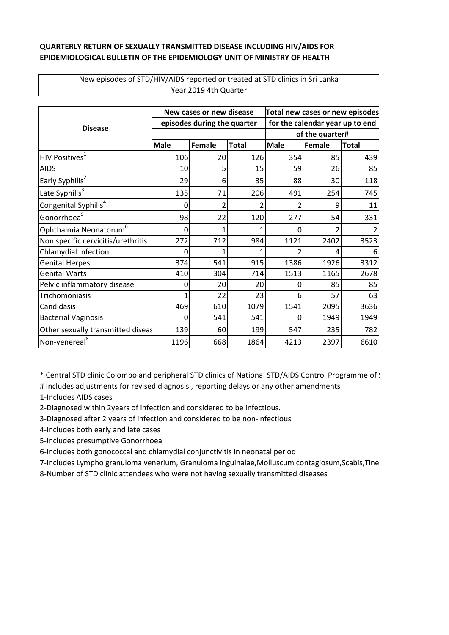## **QUARTERLY RETURN OF SEXUALLY TRANSMITTED DISEASE INCLUDING HIV/AIDS FOR EPIDEMIOLOGICAL BULLETIN OF THE EPIDEMIOLOGY UNIT OF MINISTRY OF HEALTH**

New episodes of STD/HIV/AIDS reported or treated at STD clinics in Sri Lanka Year 2019 4th Quarter

| <b>Disease</b>                     | New cases or new disease    |        |              | Total new cases or new episodes |        |              |
|------------------------------------|-----------------------------|--------|--------------|---------------------------------|--------|--------------|
|                                    | episodes during the quarter |        |              | for the calendar year up to end |        |              |
|                                    |                             |        |              | of the quarter#                 |        |              |
|                                    | <b>Male</b>                 | Female | <b>Total</b> | <b>Male</b>                     | Female | <b>Total</b> |
| HIV Positives <sup>1</sup>         | 106                         | 20     | 126          | 354                             | 85     | 439          |
| <b>AIDS</b>                        | 10                          | 5      | 15           | 59                              | 26     | 85           |
| Early Syphilis <sup>2</sup>        | 29                          | 6      | 35           | 88                              | 30     | 118          |
| Late Syphilis <sup>3</sup>         | 135                         | 71     | 206          | 491                             | 254    | 745          |
| Congenital Syphilis <sup>4</sup>   | 0                           | 2      | 2            | 2                               | 9      | 11           |
| Gonorrhoea <sup>5</sup>            | 98                          | 22     | 120          | 277                             | 54     | 331          |
| Ophthalmia Neonatorum <sup>6</sup> | 0                           | 1      | 1            | 0                               | 2      |              |
| Non specific cervicitis/urethritis | 272                         | 712    | 984          | 1121                            | 2402   | 3523         |
| Chlamydial Infection               | 0                           | 1      |              | $\overline{\phantom{a}}$        | 4      | 6            |
| <b>Genital Herpes</b>              | 374                         | 541    | 915          | 1386                            | 1926   | 3312         |
| <b>Genital Warts</b>               | 410                         | 304    | 714          | 1513                            | 1165   | 2678         |
| Pelvic inflammatory disease        | 0                           | 20     | 20           | 0                               | 85     | 85           |
| Trichomoniasis                     | 1                           | 22     | 23           | 6                               | 57     | 63           |
| Candidasis                         | 469                         | 610    | 1079         | 1541                            | 2095   | 3636         |
| <b>Bacterial Vaginosis</b>         | 0                           | 541    | 541          | 0                               | 1949   | 1949         |
| Other sexually transmitted diseas  | 139                         | 60     | 199          | 547                             | 235    | 782          |
| Non-venereal <sup>8</sup>          | 1196                        | 668    | 1864         | 4213                            | 2397   | 6610         |

\* Central STD clinic Colombo and peripheral STD clinics of National STD/AIDS Control Programme of St

# Includes adjustments for revised diagnosis , reporting delays or any other amendments 1-Includes AIDS cases

2-Diagnosed within 2years of infection and considered to be infectious.

3-Diagnosed after 2 years of infection and considered to be non-infectious

4-Includes both early and late cases

5-Includes presumptive Gonorrhoea

6-Includes both gonococcal and chlamydial conjunctivitis in neonatal period

7-Includes Lympho granuloma venerium, Granuloma inguinalae,Molluscum contagiosum,Scabis,Tine

8-Number of STD clinic attendees who were not having sexually transmitted diseases